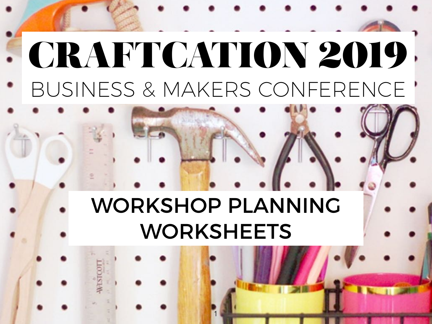## WORKSHOP PLANNING WORKSHEETS

1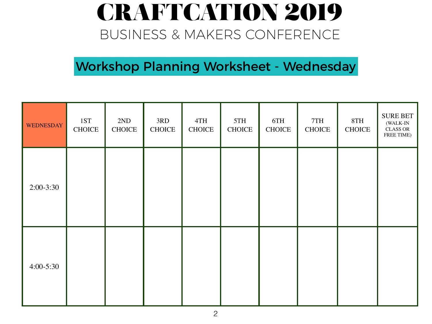Workshop Planning Worksheet - Wednesday

| <b>WEDNESDAY</b> | 1ST<br><b>CHOICE</b> | 2ND<br><b>CHOICE</b> | 3RD<br><b>CHOICE</b> | 4TH<br><b>CHOICE</b> | 5TH<br><b>CHOICE</b> | 6TH<br><b>CHOICE</b> | 7TH<br><b>CHOICE</b> | 8TH<br><b>CHOICE</b> | <b>SURE BET</b><br>(WALK-IN<br><b>CLASS OR</b><br>FREE TIME) |
|------------------|----------------------|----------------------|----------------------|----------------------|----------------------|----------------------|----------------------|----------------------|--------------------------------------------------------------|
| $2:00-3:30$      |                      |                      |                      |                      |                      |                      |                      |                      |                                                              |
| $4:00 - 5:30$    |                      |                      |                      |                      |                      |                      |                      |                      |                                                              |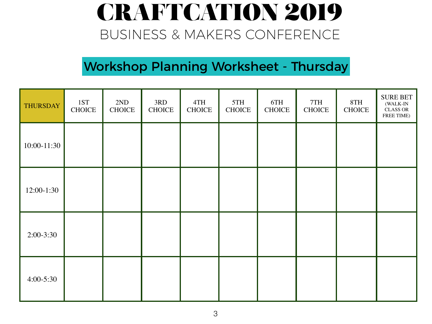#### Workshop Planning Worksheet - Thursday

| <b>THURSDAY</b> | 1ST<br><b>CHOICE</b> | 2ND<br><b>CHOICE</b> | 3RD<br><b>CHOICE</b> | 4TH<br><b>CHOICE</b> | 5TH<br><b>CHOICE</b> | 6TH<br><b>CHOICE</b> | 7TH<br><b>CHOICE</b> | 8TH<br><b>CHOICE</b> | <b>SURE BET</b><br>(WALK-IN<br><b>CLASS OR</b><br>FREE TIME) |
|-----------------|----------------------|----------------------|----------------------|----------------------|----------------------|----------------------|----------------------|----------------------|--------------------------------------------------------------|
| 10:00-11:30     |                      |                      |                      |                      |                      |                      |                      |                      |                                                              |
| $12:00-1:30$    |                      |                      |                      |                      |                      |                      |                      |                      |                                                              |
| $2:00-3:30$     |                      |                      |                      |                      |                      |                      |                      |                      |                                                              |
| $4:00-5:30$     |                      |                      |                      |                      |                      |                      |                      |                      |                                                              |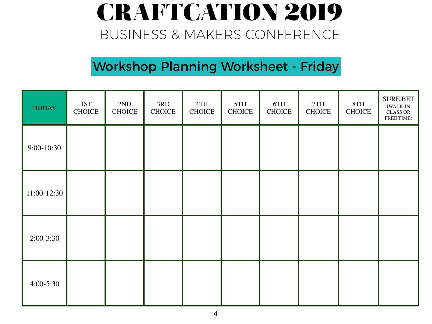#### Workshop Planning Worksheet - Friday

| FRIDAY        | 1ST<br><b>CHOICE</b> | 2ND<br><b>CHOICE</b> | 3RD<br><b>CHOICE</b> | 4TH<br><b>CHOICE</b> | 5TH<br><b>CHOICE</b> | 6TH<br><b>CHOICE</b> | 7TH<br><b>CHOICE</b> | 8TH<br><b>CHOICE</b> | <b>SURE BET</b><br>(WALK-IN<br><b>CLASS OR</b><br>FREE TIME) |
|---------------|----------------------|----------------------|----------------------|----------------------|----------------------|----------------------|----------------------|----------------------|--------------------------------------------------------------|
| $9:00-10:30$  |                      |                      |                      |                      |                      |                      |                      |                      |                                                              |
| 11:00-12:30   |                      |                      |                      |                      |                      |                      |                      |                      |                                                              |
| $2:00-3:30$   |                      |                      |                      |                      |                      |                      |                      |                      |                                                              |
| $4:00 - 5:30$ |                      |                      |                      |                      |                      |                      |                      |                      |                                                              |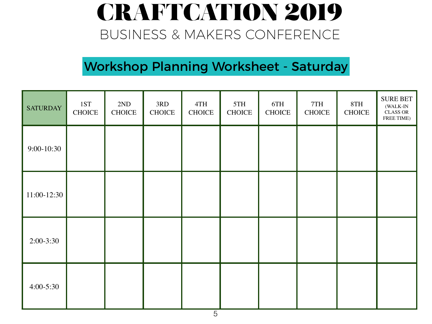#### Workshop Planning Worksheet - Saturday

| <b>SATURDAY</b> | 1ST<br><b>CHOICE</b> | 2ND<br><b>CHOICE</b> | 3RD<br><b>CHOICE</b> | 4TH<br><b>CHOICE</b> | 5TH<br><b>CHOICE</b> | 6TH<br><b>CHOICE</b> | 7TH<br><b>CHOICE</b> | 8TH<br><b>CHOICE</b> | <b>SURE BET</b><br>(WALK-IN<br><b>CLASS OR</b><br>FREE TIME) |
|-----------------|----------------------|----------------------|----------------------|----------------------|----------------------|----------------------|----------------------|----------------------|--------------------------------------------------------------|
| $9:00-10:30$    |                      |                      |                      |                      |                      |                      |                      |                      |                                                              |
| $11:00-12:30$   |                      |                      |                      |                      |                      |                      |                      |                      |                                                              |
| $2:00-3:30$     |                      |                      |                      |                      |                      |                      |                      |                      |                                                              |
| $4:00-5:30$     |                      |                      |                      |                      |                      |                      |                      |                      |                                                              |